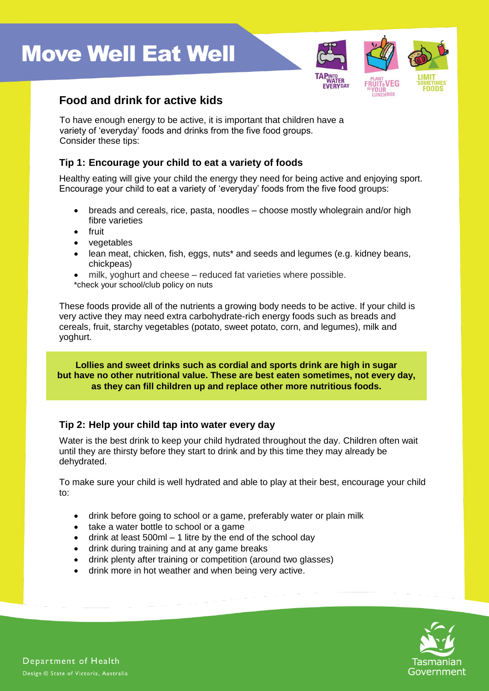# **Move Well Eat Well**



### **Food and drink for active kids**

To have enough energy to be active, it is important that children have a variety of 'everyday' foods and drinks from the five food groups. Consider these tips:

### **Tip 1: Encourage your child to eat a variety of foods**

Healthy eating will give your child the energy they need for being active and enjoying sport. Encourage your child to eat a variety of 'everyday' foods from the five food groups:

- breads and cereals, rice, pasta, noodles choose mostly wholegrain and/or high fibre varieties
- **e** fruit
- vegetables
- lean meat, chicken, fish, eggs, nuts\* and seeds and legumes (e.g. kidney beans, chickpeas)
- milk, yoghurt and cheese reduced fat varieties where possible.
- \*check your school/club policy on nuts

These foods provide all of the nutrients a growing body needs to be active. If your child is very active they may need extra carbohydrate-rich energy foods such as breads and cereals, fruit, starchy vegetables (potato, sweet potato, corn, and legumes), milk and yoghurt.

**Lollies and sweet drinks such as cordial and sports drink are high in sugar but have no other nutritional value. These are best eaten sometimes, not every day, as they can fill children up and replace other more nutritious foods.**

#### **Tip 2: Help your child tap into water every day**

Water is the best drink to keep your child hydrated throughout the day. Children often wait until they are thirsty before they start to drink and by this time they may already be dehydrated.

To make sure your child is well hydrated and able to play at their best, encourage your child to:

- drink before going to school or a game, preferably water or plain milk
- take a water bottle to school or a game
- $\bullet$  drink at least 500ml 1 litre by the end of the school day
- drink during training and at any game breaks
- drink plenty after training or competition (around two glasses)
- drink more in hot weather and when being very active.

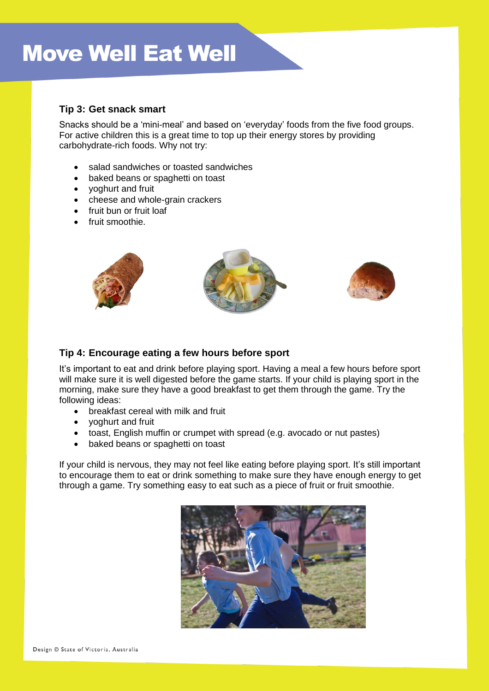# **Move Well Eat Well**

#### **Tip 3: Get snack smart**

Snacks should be a 'mini-meal' and based on 'everyday' foods from the five food groups. For active children this is a great time to top up their energy stores by providing carbohydrate-rich foods. Why not try:

- salad sandwiches or toasted sandwiches
- baked beans or spaghetti on toast
- yoghurt and fruit
- cheese and whole-grain crackers
- fruit bun or fruit loaf
- fruit smoothie.



#### **Tip 4: Encourage eating a few hours before sport**

It's important to eat and drink before playing sport. Having a meal a few hours before sport will make sure it is well digested before the game starts. If your child is playing sport in the morning, make sure they have a good breakfast to get them through the game. Try the following ideas:

- breakfast cereal with milk and fruit
- yoghurt and fruit
- toast, English muffin or crumpet with spread (e.g. avocado or nut pastes)
- baked beans or spaghetti on toast

If your child is nervous, they may not feel like eating before playing sport. It's still important to encourage them to eat or drink something to make sure they have enough energy to get through a game. Try something easy to eat such as a piece of fruit or fruit smoothie.

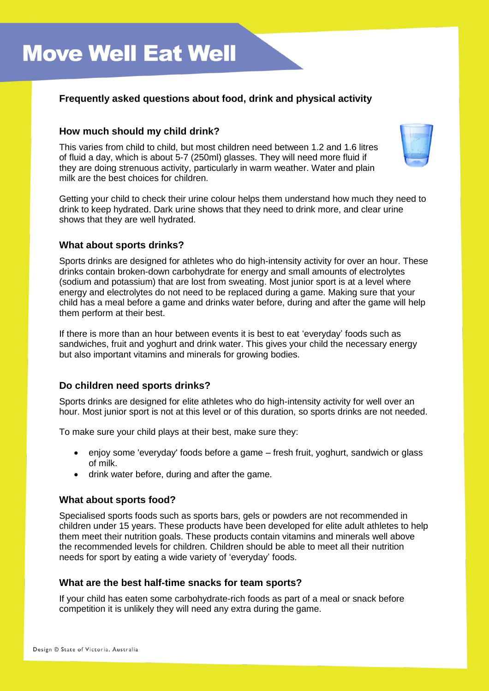### **Frequently asked questions about food, drink and physical activity**

#### **How much should my child drink?**

This varies from child to child, but most children need between 1.2 and 1.6 litres of fluid a day, which is about 5-7 (250ml) glasses. They will need more fluid if they are doing strenuous activity, particularly in warm weather. Water and plain milk are the best choices for children.



Getting your child to check their urine colour helps them understand how much they need to drink to keep hydrated. Dark urine shows that they need to drink more, and clear urine shows that they are well hydrated.

#### **What about sports drinks?**

Sports drinks are designed for athletes who do high-intensity activity for over an hour. These drinks contain broken-down carbohydrate for energy and small amounts of electrolytes (sodium and potassium) that are lost from sweating. Most junior sport is at a level where energy and electrolytes do not need to be replaced during a game. Making sure that your child has a meal before a game and drinks water before, during and after the game will help them perform at their best.

If there is more than an hour between events it is best to eat 'everyday' foods such as sandwiches, fruit and yoghurt and drink water. This gives your child the necessary energy but also important vitamins and minerals for growing bodies.

#### **Do children need sports drinks?**

Sports drinks are designed for elite athletes who do high-intensity activity for well over an hour. Most junior sport is not at this level or of this duration, so sports drinks are not needed.

To make sure your child plays at their best, make sure they:

- enjoy some 'everyday' foods before a game fresh fruit, yoghurt, sandwich or glass of milk.
- drink water before, during and after the game.

#### **What about sports food?**

Specialised sports foods such as sports bars, gels or powders are not recommended in children under 15 years. These products have been developed for elite adult athletes to help them meet their nutrition goals. These products contain vitamins and minerals well above the recommended levels for children. Children should be able to meet all their nutrition needs for sport by eating a wide variety of 'everyday' foods.

#### **What are the best half-time snacks for team sports?**

If your child has eaten some carbohydrate-rich foods as part of a meal or snack before competition it is unlikely they will need any extra during the game.